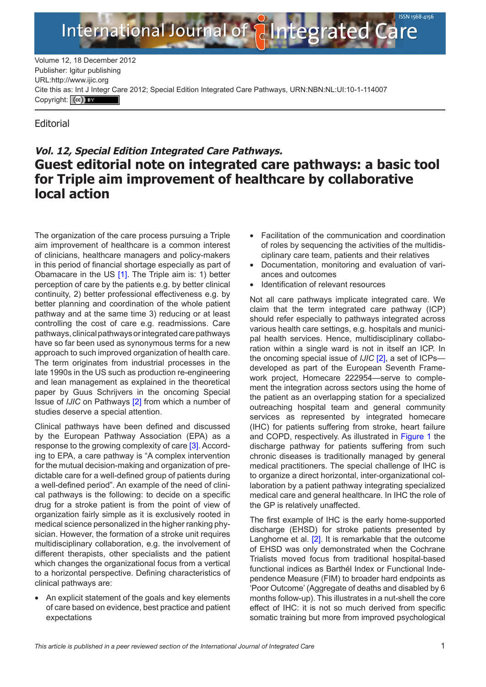

Volume 12, 18 December 2012 Publisher: Igitur publishing URL[:http://www.ijic.org](http://www.ijic.org) Cite this a[s: Int J Integr Ca](http://creativecommons.org/licenses/by/3.0/)re 2012; Special Edition Integrated Care Pathways, [URN:NBN:NL:UI:10-1-114007](http://persistent-identifier.nl/?identifier=URN:NBN:NL:UI:10-1-114007) Copyright: (cc)

**Editorial** 

## **Vol. 12, Special Edition Integrated Care Pathways. Guest editorial note on integrated care pathways: a basic tool for Triple aim improvement of healthcare by collaborative local action**

The organization of the care process pursuing a Triple aim improvement of healthcare is a common interest of clinicians, healthcare managers and policy-makers in this period of financial shortage especially as part of Obamacare in the US [\[1\].](#page-2-0) The Triple aim is: 1) better perception of care by the patients e.g. by better clinical continuity, 2) better professional effectiveness e.g. by better planning and coordination of the whole patient pathway and at the same time 3) reducing or at least controlling the cost of care e.g. readmissions. Care pathways, clinical pathways or integrated care pathways have so far been used as synonymous terms for a new approach to such improved organization of health care. The term originates from industrial processes in the late 1990s in the US such as production re-engineering and lean management as explained in the theoretical paper by Guus Schrijvers in the oncoming Special Issue of *IJIC* on Pathways [\[2\]](#page-2-0) from which a number of studies deserve a special attention.

Clinical pathways have been defined and discussed by the European Pathway Association (EPA) as a response to the growing complexity of care [\[3\]](#page-2-0). According to EPA, a care pathway is "A complex intervention for the mutual decision-making and organization of predictable care for a well-defined group of patients during a well-defined period". An example of the need of clinical pathways is the following: to decide on a specific drug for a stroke patient is from the point of view of organization fairly simple as it is exclusively rooted in medical science personalized in the higher ranking physician. However, the formation of a stroke unit requires multidisciplinary collaboration, e.g. the involvement of different therapists, other specialists and the patient which changes the organizational focus from a vertical to a horizontal perspective. Defining characteristics of clinical pathways are:

• An explicit statement of the goals and key elements of care based on evidence, best practice and patient expectations

- Facilitation of the communication and coordination of roles by sequencing the activities of the multidisciplinary care team, patients and their relatives
- Documentation, monitoring and evaluation of variances and outcomes
- Identification of relevant resources

Not all care pathways implicate integrated care. We claim that the term integrated care pathway (ICP) should refer especially to pathways integrated across various health care settings, e.g. hospitals and municipal health services. Hence, multidisciplinary collaboration within a single ward is not in itself an ICP. In the oncoming special issue of *IJIC* [\[2\]](#page-2-0), a set of ICPs developed as part of the European Seventh Framework project, Homecare 222954—serve to complement the integration across sectors using the home of the patient as an overlapping station for a specialized outreaching hospital team and general community services as represented by integrated homecare (IHC) for patients suffering from stroke, heart failure and COPD, respectively. As illustrated in [Figure 1](#page-1-0) the discharge pathway for patients suffering from such chronic diseases is traditionally managed by general medical practitioners. The special challenge of IHC is to organize a direct horizontal, inter-organizational collaboration by a patient pathway integrating specialized medical care and general healthcare. In IHC the role of the GP is relatively unaffected.

The first example of IHC is the early home-supported discharge (EHSD) for stroke patients presented by Langhorne et al. [\[2\].](#page-2-0) It is remarkable that the outcome of EHSD was only demonstrated when the Cochrane Trialists moved focus from traditional hospital-based functional indices as Barthél Index or Functional Independence Measure (FIM) to broader hard endpoints as 'Poor Outcome' (Aggregate of deaths and disabled by 6 months follow-up). This illustrates in a nut-shell the core effect of IHC: it is not so much derived from specific somatic training but more from improved psychological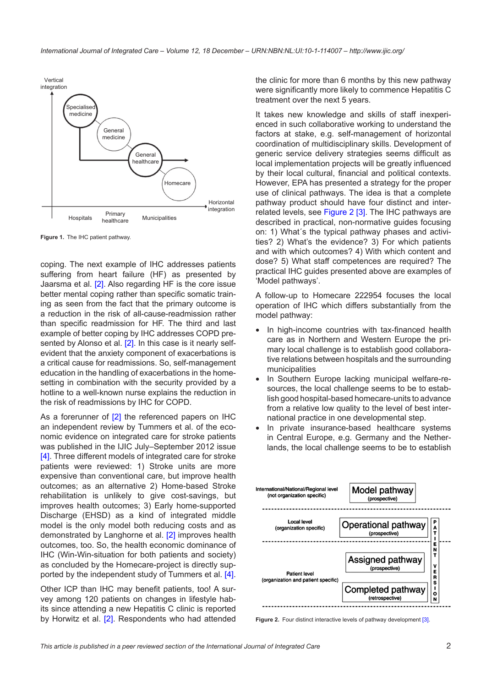

<span id="page-1-0"></span>**Figure 1.** The IHC patient pathway.

coping. The next example of IHC addresses patients suffering from heart failure (HF) as presented by Jaarsma et al. [\[2\].](#page-2-0) Also regarding HF is the core issue better mental coping rather than specific somatic training as seen from the fact that the primary outcome is a reduction in the risk of all-cause-readmission rather than specific readmission for HF. The third and last example of better coping by IHC addresses COPD pre-sented by Alonso et al. [\[2\].](#page-2-0) In this case is it nearly selfevident that the anxiety component of exacerbations is a critical cause for readmissions. So, self-management education in the handling of exacerbations in the homesetting in combination with the security provided by a hotline to a well-known nurse explains the reduction in the risk of readmissions by IHC for COPD.

As a forerunner of [\[2\]](#page-2-0) the referenced papers on IHC an independent review by Tummers et al. of the economic evidence on integrated care for stroke patients was published in the IJIC July–September 2012 issue [\[4\].](#page-2-0) Three different models of integrated care for stroke patients were reviewed: 1) Stroke units are more expensive than conventional care, but improve health outcomes; as an alternative 2) Home-based Stroke rehabilitation is unlikely to give cost-savings, but improves health outcomes; 3) Early home-supported Discharge (EHSD) as a kind of integrated middle model is the only model both reducing costs and as demonstrated by Langhorne et al. [\[2\]](#page-2-0) improves health outcomes, too. So, the health economic dominance of IHC (Win-Win-situation for both patients and society) as concluded by the Homecare-project is directly supported by the independent study of Tummers et al. [\[4\]](#page-2-0).

Other ICP than IHC may benefit patients, too! A survey among 120 patients on changes in lifestyle habits since attending a new Hepatitis C clinic is reported by Horwitz et al. [\[2\]](#page-2-0). Respondents who had attended the clinic for more than 6 months by this new pathway were significantly more likely to commence Hepatitis C treatment over the next 5 years.

It takes new knowledge and skills of staff inexperienced in such collaborative working to understand the factors at stake, e.g. self-management of horizontal coordination of multidisciplinary skills. Development of generic service delivery strategies seems difficult as local implementation projects will be greatly influenced by their local cultural, financial and political contexts. However, EPA has presented a strategy for the proper use of clinical pathways. The idea is that a complete pathway product should have four distinct and inter-related levels, see [Figure 2](#page-1-1) [\[3\].](#page-2-0) The IHC pathways are described in practical, non-normative guides focusing on: 1) What´s the typical pathway phases and activities? 2) What's the evidence? 3) For which patients and with which outcomes? 4) With which content and dose? 5) What staff competences are required? The practical IHC guides presented above are examples of 'Model pathways'.

A follow-up to Homecare 222954 focuses the local operation of IHC which differs substantially from the model pathway:

- In high-income countries with tax-financed health care as in Northern and Western Europe the primary local challenge is to establish good collaborative relations between hospitals and the surrounding municipalities
- In Southern Europe lacking municipal welfare-resources, the local challenge seems to be to establish good hospital-based homecare-units to advance from a relative low quality to the level of best international practice in one developmental step.
- In private insurance-based healthcare systems in Central Europe, e.g. Germany and the Netherlands, the local challenge seems to be to establish



<span id="page-1-1"></span>Figure 2. Four distinct interactive levels of pathway development [\[3\]](#page-2-0).